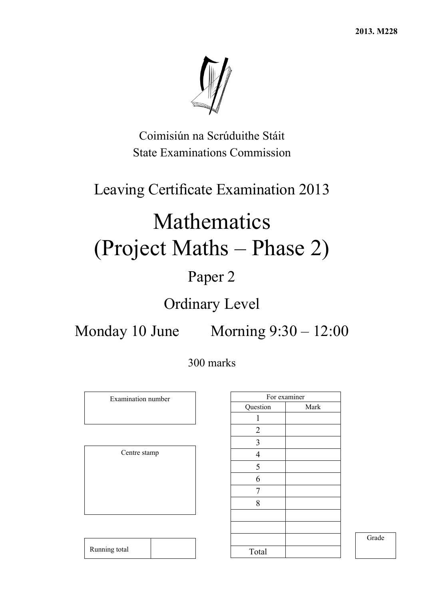**2013. M228** 



Coimisiún na Scrúduithe Stáit State Examinations Commission

# Leaving Certificate Examination 2013

# Mathematics (Project Maths – Phase 2)

# Paper 2

# Ordinary Level

Monday 10 June Morning 9:30 – 12:00

# 300 marks

Examination number

Centre stamp

|                         | For examiner |
|-------------------------|--------------|
| Question                | Mark         |
| 1                       |              |
| $\overline{2}$          |              |
| $\overline{\mathbf{3}}$ |              |
| $\overline{4}$          |              |
| 5                       |              |
| $\overline{6}$          |              |
| 7                       |              |
| 8                       |              |
|                         |              |
|                         |              |
|                         |              |
| Total                   |              |

Grade

| Running total |  |
|---------------|--|
|               |  |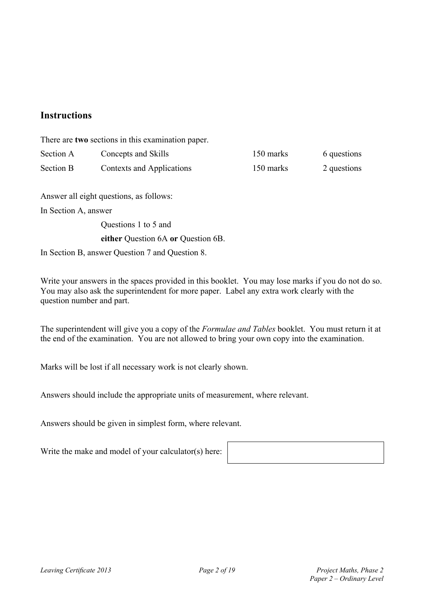# **Instructions**

There are **two** sections in this examination paper. Section A Concepts and Skills 150 marks 6 questions Section B Contexts and Applications 150 marks 2 questions Answer all eight questions, as follows: In Section A, answer Questions 1 to 5 and **either** Question 6A **or** Question 6B. In Section B, answer Question 7 and Question 8.

Write your answers in the spaces provided in this booklet. You may lose marks if you do not do so. You may also ask the superintendent for more paper. Label any extra work clearly with the question number and part.

The superintendent will give you a copy of the *Formulae and Tables* booklet. You must return it at the end of the examination. You are not allowed to bring your own copy into the examination.

Marks will be lost if all necessary work is not clearly shown.

Answers should include the appropriate units of measurement, where relevant.

Answers should be given in simplest form, where relevant.

Write the make and model of your calculator(s) here: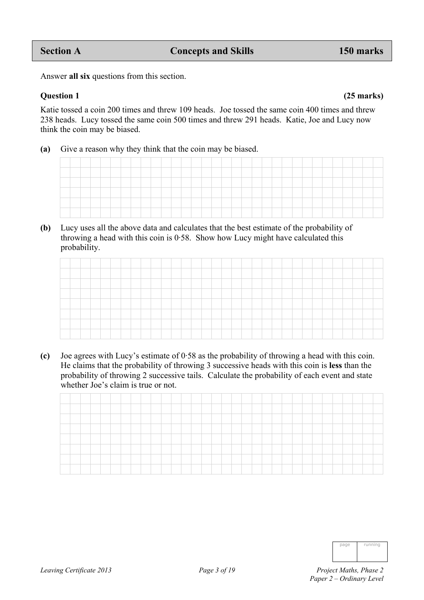Answer **all six** questions from this section.

## **Question 1 (25 marks)**

Katie tossed a coin 200 times and threw 109 heads. Joe tossed the same coin 400 times and threw 238 heads. Lucy tossed the same coin 500 times and threw 291 heads. Katie, Joe and Lucy now think the coin may be biased.

**(a)** Give a reason why they think that the coin may be biased.

**(b)** Lucy uses all the above data and calculates that the best estimate of the probability of throwing a head with this coin is 0·58. Show how Lucy might have calculated this probability.

**(c)** Joe agrees with Lucy's estimate of 0·58 as the probability of throwing a head with this coin. He claims that the probability of throwing 3 successive heads with this coin is **less** than the probability of throwing 2 successive tails. Calculate the probability of each event and state whether Joe's claim is true or not.

| nage | running |
|------|---------|
|      |         |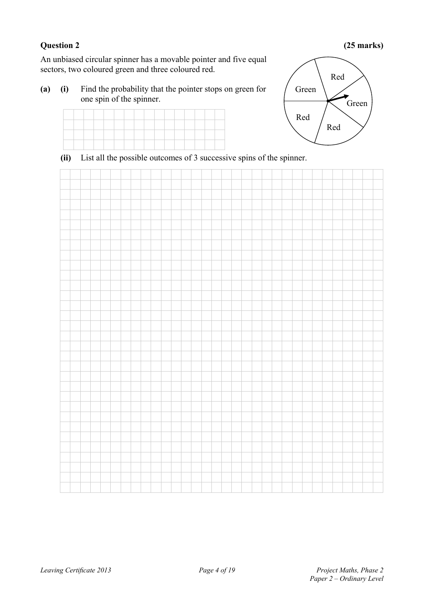## **Question 2 (25 marks)**

An unbiased circular spinner has a movable pointer and five equal sectors, two coloured green and three coloured red.

**(a) (i)** Find the probability that the pointer stops on green for one spin of the spinner.





**(ii)** List all the possible outcomes of 3 successive spins of the spinner.

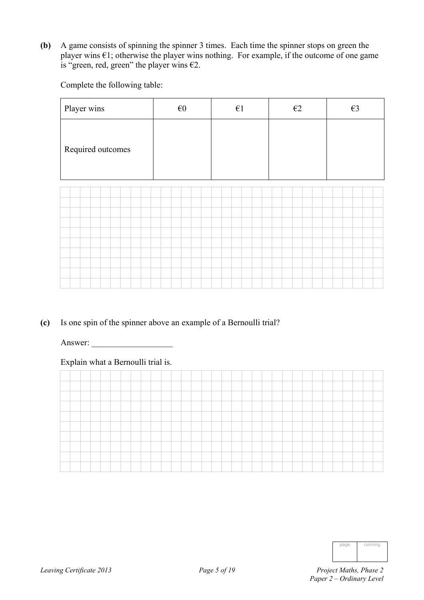**(b)** A game consists of spinning the spinner 3 times. Each time the spinner stops on green the player wins  $\epsilon$ 1; otherwise the player wins nothing. For example, if the outcome of one game is "green, red, green" the player wins  $\epsilon$ 2.

Complete the following table:

| Player wins       | $\epsilon 0$ | $\epsilon$ 1 | $\epsilon$ 2 | $\epsilon$ 3 |
|-------------------|--------------|--------------|--------------|--------------|
| Required outcomes |              |              |              |              |
|                   |              |              |              |              |
|                   |              |              |              |              |
|                   |              |              |              |              |
|                   |              |              |              |              |
|                   |              |              |              |              |
|                   |              |              |              |              |
|                   |              |              |              |              |
|                   |              |              |              |              |
|                   |              |              |              |              |
|                   |              |              |              |              |

**(c)** Is one spin of the spinner above an example of a Bernoulli trial?

Answer:

## Explain what a Bernoulli trial is.

| page | running |
|------|---------|
|      |         |
|      |         |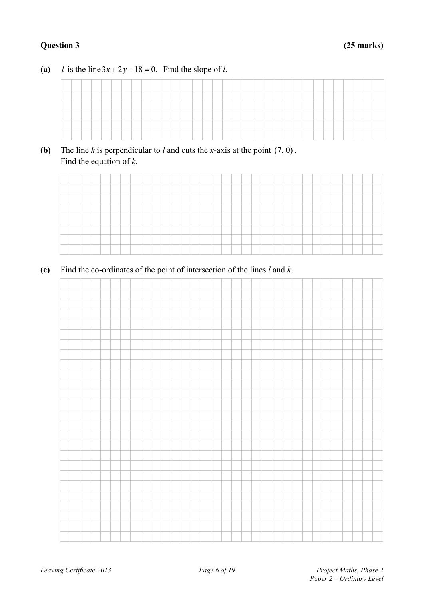# **Question 3 (25 marks)**

# (a) *l* is the line  $3x + 2y + 18 = 0$ . Find the slope of *l*.

**(b)** The line  $k$  is perpendicular to  $l$  and cuts the *x*-axis at the point  $(7, 0)$ . Find the equation of *k*.

| -      |  |  |  |  |  |  |       |       |       |      |  |  |  |  |  |  |
|--------|--|--|--|--|--|--|-------|-------|-------|------|--|--|--|--|--|--|
|        |  |  |  |  |  |  |       |       |       |      |  |  |  |  |  |  |
|        |  |  |  |  |  |  |       |       |       |      |  |  |  |  |  |  |
|        |  |  |  |  |  |  |       |       |       |      |  |  |  |  |  |  |
|        |  |  |  |  |  |  |       |       |       |      |  |  |  |  |  |  |
| ______ |  |  |  |  |  |  | _____ | _____ | _____ | ____ |  |  |  |  |  |  |

**(c)** Find the co-ordinates of the point of intersection of the lines *l* and *k*.

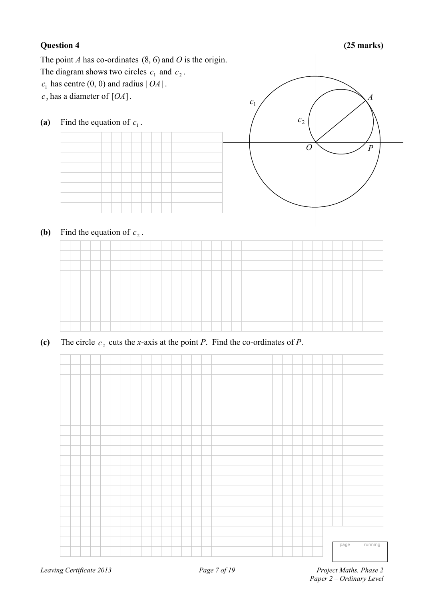# **Question 4 (25 marks)**

The point *A* has co-ordinates (8, 6) and *O* is the origin.

- The diagram shows two circles  $c_1$  and  $c_2$ .
- $c_1$  has centre (0, 0) and radius  $|OA|$ .
- $c_2$  has a diameter of [*OA*].
- (a) Find the equation of  $c_1$ .



**(b)** Find the equation of  $c_2$ .



(c) The circle  $c_2$  cuts the *x*-axis at the point *P*. Find the co-ordinates of *P*.

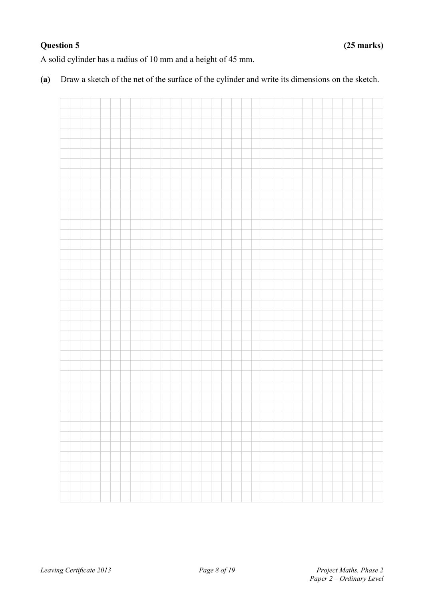# **Question 5 (25 marks)**

A solid cylinder has a radius of 10 mm and a height of 45 mm.

**(a)** Draw a sketch of the net of the surface of the cylinder and write its dimensions on the sketch.

|  | $\mathcal{L}^{\mathcal{L}}$ | <b>Contract Contract</b> |  | a sa B |  | <u> Tanzania de la pro</u> |  | <u> Tanta da Barat da Ba</u> |  | $\sim$ 1 | <u>a sa san</u> |  | <b>Contract</b> |  | <b>Contract</b> |  |  |
|--|-----------------------------|--------------------------|--|--------|--|----------------------------|--|------------------------------|--|----------|-----------------|--|-----------------|--|-----------------|--|--|
|  |                             |                          |  |        |  |                            |  |                              |  |          |                 |  |                 |  |                 |  |  |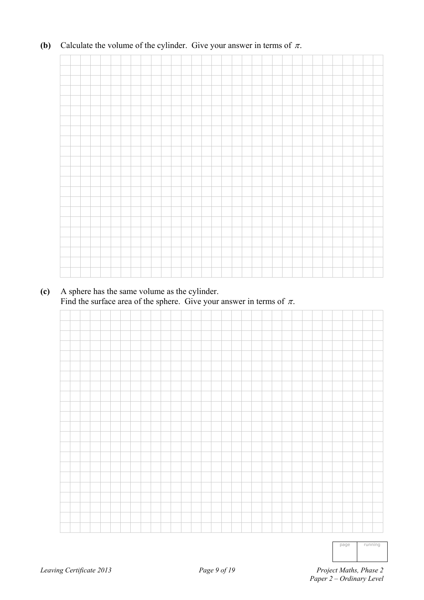# **(b)** Calculate the volume of the cylinder. Give your answer in terms of  $\pi$ .

# **(c)** A sphere has the same volume as the cylinder. Find the surface area of the sphere. Give your answer in terms of  $\pi$ .



page running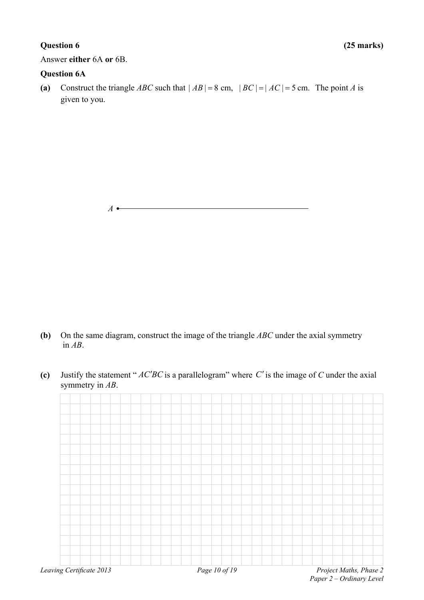Answer **either** 6A **or** 6B.

## **Question 6A**

(a) Construct the triangle *ABC* such that  $|AB| = 8$  cm,  $|BC| = |AC| = 5$  cm. The point *A* is given to you.

*A* 

- **(b)** On the same diagram, construct the image of the triangle *ABC* under the axial symmetry in *AB*.
- **(c)** Justify the statement " $AC^tBC$  is a parallelogram" where  $C'$  is the image of  $C$  under the axial symmetry in *AB*.

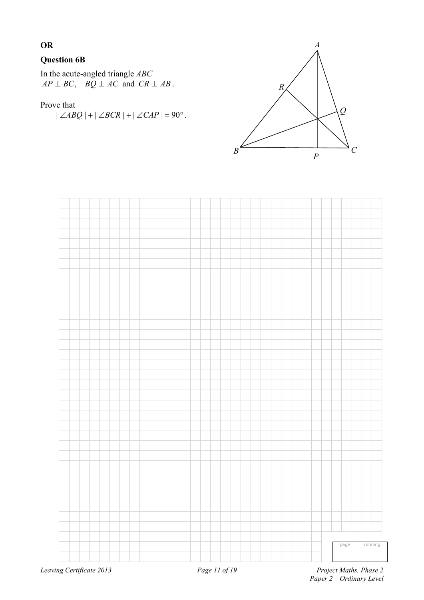# **OR**

## **Question 6B**

In the acute-angled triangle *ABC*  $AP \perp BC$ ,  $BQ \perp AC$  and  $CR \perp AB$ .

## Prove that

 $|\angle ABO| + |\angle BCR| + |\angle CAP| = 90^\circ$ .





 *Paper 2 – Ordinary Level*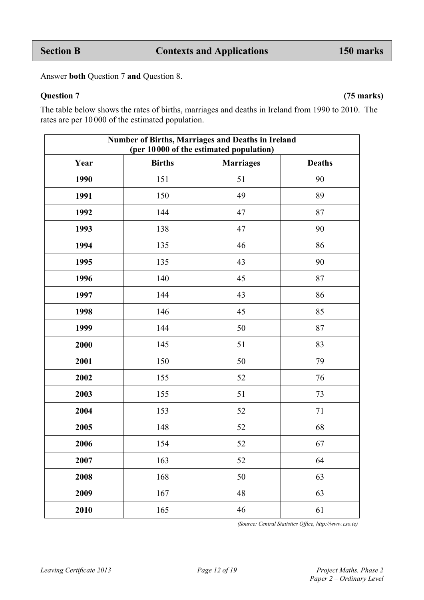Answer **both** Question 7 **and** Question 8.

**Question 7 (75 marks)** 

The table below shows the rates of births, marriages and deaths in Ireland from 1990 to 2010. The rates are per 10 000 of the estimated population.

|      | Number of Births, Marriages and Deaths in Ireland<br>(per 10000 of the estimated population) |                  |               |
|------|----------------------------------------------------------------------------------------------|------------------|---------------|
| Year | <b>Births</b>                                                                                | <b>Marriages</b> | <b>Deaths</b> |
| 1990 | 151                                                                                          | 51               | 90            |
| 1991 | 150                                                                                          | 49               | 89            |
| 1992 | 144                                                                                          | 47               | 87            |
| 1993 | 138                                                                                          | 47               | 90            |
| 1994 | 135                                                                                          | 46               | 86            |
| 1995 | 135                                                                                          | 43               | 90            |
| 1996 | 140                                                                                          | 45               | 87            |
| 1997 | 144                                                                                          | 43               | 86            |
| 1998 | 146                                                                                          | 45               | 85            |
| 1999 | 144                                                                                          | 50               | 87            |
| 2000 | 145                                                                                          | 51               | 83            |
| 2001 | 150                                                                                          | 50               | 79            |
| 2002 | 155                                                                                          | 52               | 76            |
| 2003 | 155                                                                                          | 51               | 73            |
| 2004 | 153                                                                                          | 52               | 71            |
| 2005 | 148                                                                                          | 52               | 68            |
| 2006 | 154                                                                                          | 52               | 67            |
| 2007 | 163                                                                                          | 52               | 64            |
| 2008 | 168                                                                                          | 50               | 63            |
| 2009 | 167                                                                                          | $\sqrt{48}$      | 63            |
| 2010 | 165                                                                                          | 46               | 61            |

*(Source: Central Statistics Office, http://www.cso.ie)*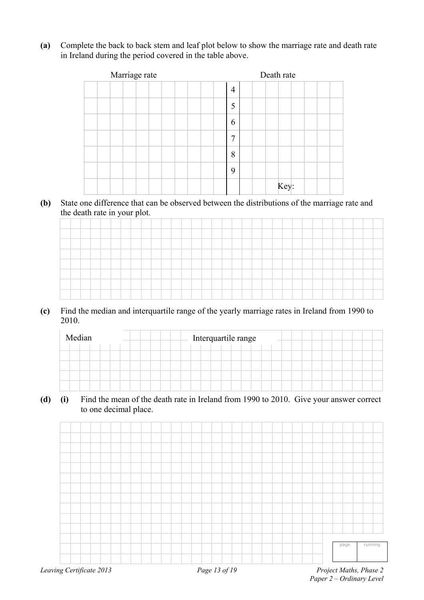**(a)** Complete the back to back stem and leaf plot below to show the marriage rate and death rate in Ireland during the period covered in the table above.

| Marriage rate | Death rate     |
|---------------|----------------|
|               | $\overline{4}$ |
|               | 5              |
|               | 6              |
|               | 7              |
|               | 8              |
|               | 9              |
|               | Key:           |

**(b)** State one difference that can be observed between the distributions of the marriage rate and the death rate in your plot.

|   |  |  | - | $\sim$ |  |  |  |  |  |  |  |  |  |  |  |  |
|---|--|--|---|--------|--|--|--|--|--|--|--|--|--|--|--|--|
|   |  |  |   |        |  |  |  |  |  |  |  |  |  |  |  |  |
| _ |  |  |   |        |  |  |  |  |  |  |  |  |  |  |  |  |
|   |  |  |   |        |  |  |  |  |  |  |  |  |  |  |  |  |
|   |  |  |   |        |  |  |  |  |  |  |  |  |  |  |  |  |
|   |  |  |   |        |  |  |  |  |  |  |  |  |  |  |  |  |
|   |  |  |   |        |  |  |  |  |  |  |  |  |  |  |  |  |
|   |  |  |   |        |  |  |  |  |  |  |  |  |  |  |  |  |
|   |  |  |   |        |  |  |  |  |  |  |  |  |  |  |  |  |
|   |  |  |   |        |  |  |  |  |  |  |  |  |  |  |  |  |

**(c)** Find the median and interquartile range of the yearly marriage rates in Ireland from 1990 to 2010.

| Median |  |  |  |  |  |  |  | Interquartile range |  |  |  |  |  |  |  |  |
|--------|--|--|--|--|--|--|--|---------------------|--|--|--|--|--|--|--|--|
|        |  |  |  |  |  |  |  |                     |  |  |  |  |  |  |  |  |
|        |  |  |  |  |  |  |  |                     |  |  |  |  |  |  |  |  |
|        |  |  |  |  |  |  |  |                     |  |  |  |  |  |  |  |  |
|        |  |  |  |  |  |  |  |                     |  |  |  |  |  |  |  |  |
|        |  |  |  |  |  |  |  |                     |  |  |  |  |  |  |  |  |

**(d) (i)** Find the mean of the death rate in Ireland from 1990 to 2010. Give your answer correct to one decimal place.

| Leaving Certificate 2013 |  |  |  |  |  |  |  | Page 13 of 19 |  |  |  |  |  |  |      | Project Maths, Phase 2 |
|--------------------------|--|--|--|--|--|--|--|---------------|--|--|--|--|--|--|------|------------------------|
|                          |  |  |  |  |  |  |  |               |  |  |  |  |  |  |      |                        |
|                          |  |  |  |  |  |  |  |               |  |  |  |  |  |  | page | running                |
|                          |  |  |  |  |  |  |  |               |  |  |  |  |  |  |      |                        |
|                          |  |  |  |  |  |  |  |               |  |  |  |  |  |  |      |                        |
|                          |  |  |  |  |  |  |  |               |  |  |  |  |  |  |      |                        |
|                          |  |  |  |  |  |  |  |               |  |  |  |  |  |  |      |                        |
|                          |  |  |  |  |  |  |  |               |  |  |  |  |  |  |      |                        |
|                          |  |  |  |  |  |  |  |               |  |  |  |  |  |  |      |                        |
|                          |  |  |  |  |  |  |  |               |  |  |  |  |  |  |      |                        |
|                          |  |  |  |  |  |  |  |               |  |  |  |  |  |  |      |                        |
|                          |  |  |  |  |  |  |  |               |  |  |  |  |  |  |      |                        |
|                          |  |  |  |  |  |  |  |               |  |  |  |  |  |  |      |                        |
|                          |  |  |  |  |  |  |  |               |  |  |  |  |  |  |      |                        |
|                          |  |  |  |  |  |  |  |               |  |  |  |  |  |  |      |                        |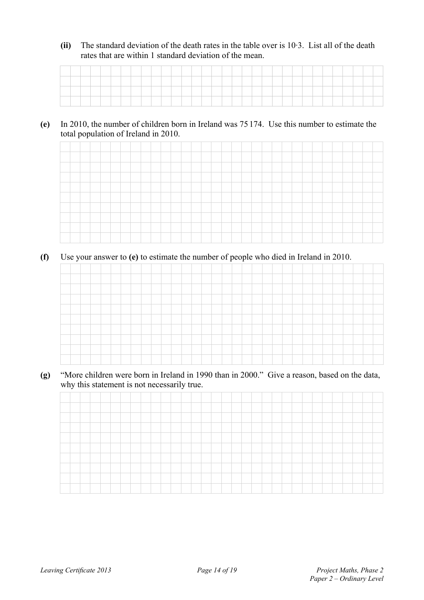**(ii)** The standard deviation of the death rates in the table over is 10·3. List all of the death rates that are within 1 standard deviation of the mean.

## **(e)** In 2010, the number of children born in Ireland was 75 174. Use this number to estimate the total population of Ireland in 2010.



**(f)** Use your answer to **(e)** to estimate the number of people who died in Ireland in 2010.



**(g)** "More children were born in Ireland in 1990 than in 2000." Give a reason, based on the data, why this statement is not necessarily true.

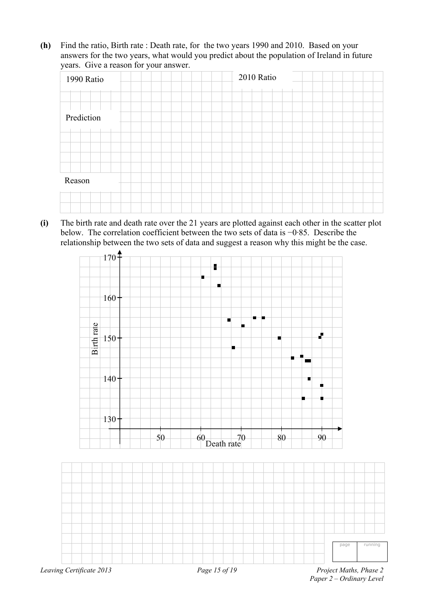**(h)** Find the ratio, Birth rate : Death rate, for the two years 1990 and 2010. Based on your answers for the two years, what would you predict about the population of Ireland in future years. Give a reason for your answer.

| 1990 Ratio | 2010 Ratio |
|------------|------------|
|            |            |
| Prediction |            |
|            |            |
|            |            |
| Reason     |            |
|            |            |

**(i)** The birth rate and death rate over the 21 years are plotted against each other in the scatter plot below. The correlation coefficient between the two sets of data is −0·85. Describe the relationship between the two sets of data and suggest a reason why this might be the case.



*Paper 2 – Ordinary Level*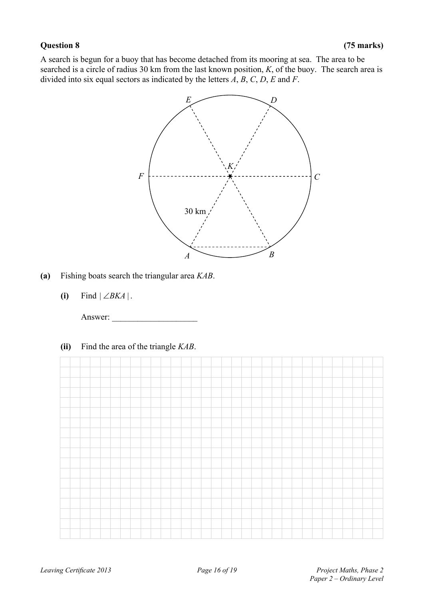A search is begun for a buoy that has become detached from its mooring at sea. The area to be searched is a circle of radius 30 km from the last known position, *K*, of the buoy. The search area is divided into six equal sectors as indicated by the letters *A*, *B*, *C*, *D*, *E* and *F*.



- **(a)** Fishing boats search the triangular area *KAB*.
	- (i) Find  $|\angle BKA|$ .

Answer:

**(ii)** Find the area of the triangle *KAB*.

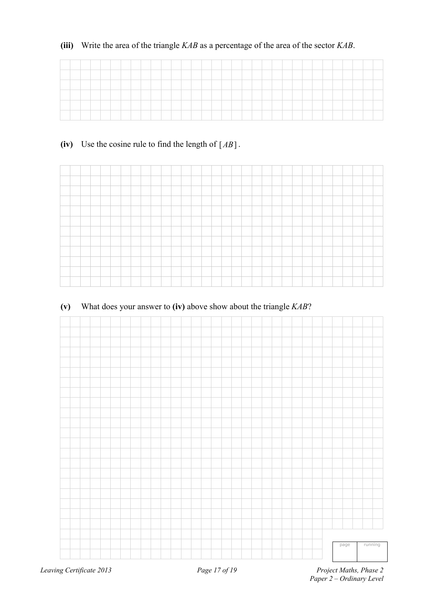# **(iii)** Write the area of the triangle *KAB* as a percentage of the area of the sector *KAB*.

| ___  |  |  |  |  |  |  |  |  |  |  |  |  |  |  |  |  |
|------|--|--|--|--|--|--|--|--|--|--|--|--|--|--|--|--|
| ____ |  |  |  |  |  |  |  |  |  |  |  |  |  |  |  |  |
|      |  |  |  |  |  |  |  |  |  |  |  |  |  |  |  |  |
|      |  |  |  |  |  |  |  |  |  |  |  |  |  |  |  |  |
|      |  |  |  |  |  |  |  |  |  |  |  |  |  |  |  |  |
|      |  |  |  |  |  |  |  |  |  |  |  |  |  |  |  |  |

# **(iv)** Use the cosine rule to find the length of [*AB*] .



# **(v)** What does your answer to **(iv)** above show about the triangle *KAB*?

|  |  |  |  |  |  |  |  |  |  |  |  |  |  | page | running |  |
|--|--|--|--|--|--|--|--|--|--|--|--|--|--|------|---------|--|
|  |  |  |  |  |  |  |  |  |  |  |  |  |  |      |         |  |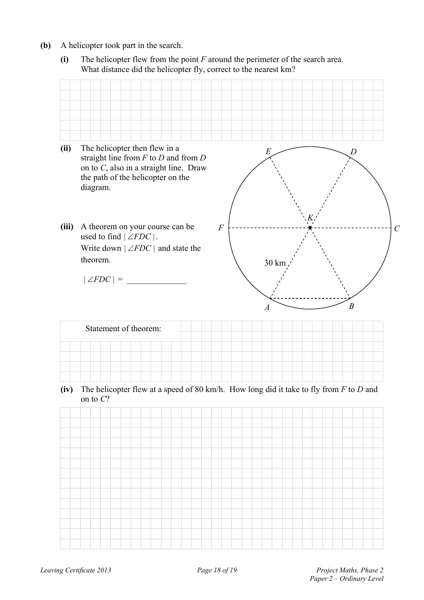- **(b)** A helicopter took part in the search.
	- **(i)** The helicopter flew from the point *F* around the perimeter of the search area. What distance did the helicopter fly, correct to the nearest km?

| (ii)  | The helicopter then flew in a<br>straight line from $F$ to $D$ and from $D$<br>on to $C$ , also in a straight line. Draw<br>the path of the helicopter on the<br>diagram. | E<br>I)                              |
|-------|---------------------------------------------------------------------------------------------------------------------------------------------------------------------------|--------------------------------------|
| (iii) | A theorem on your course can be<br>used to find $ \angle FDC $ .<br>Write down $ \angle FDC $ and state the<br>theorem.                                                   | $\overline{F}$<br>30 km              |
|       | $\vert\angle FDC\vert =$                                                                                                                                                  | $\boldsymbol{B}$<br>$\boldsymbol{A}$ |

**(iv)** The helicopter flew at a speed of 80 km/h. How long did it take to fly from *F* to *D* and on to *C*?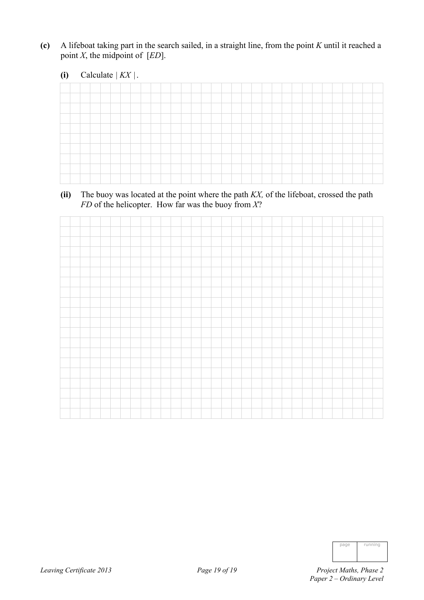- **(c)** A lifeboat taking part in the search sailed, in a straight line, from the point *K* until it reached a point  $X$ , the midpoint of  $[ED]$ .
	- (i) Calculate  $| K X |$ .

**(ii)** The buoy was located at the point where the path *KX,* of the lifeboat, crossed the path *FD* of the helicopter. How far was the buoy from *X*?

| page | running |
|------|---------|
|      |         |
|      |         |